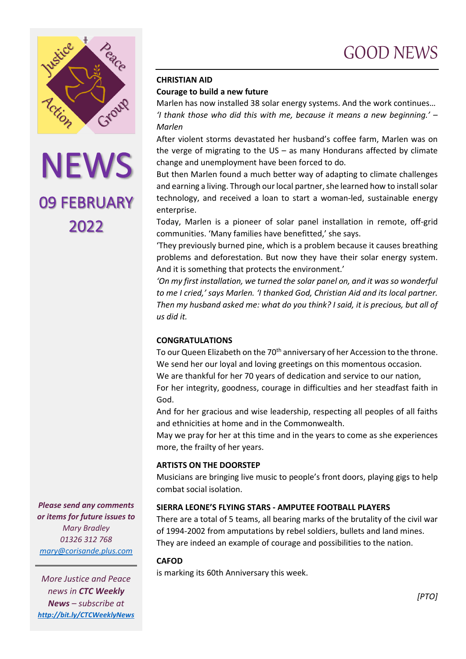



## **CHRISTIAN AID Courage to build a new future**

Marlen has now installed 38 solar energy systems. And the work continues… *'I thank those who did this with me, because it means a new beginning.' – Marlen*

After violent storms devastated her husband's coffee farm, Marlen was on the verge of migrating to the  $US - as$  many Hondurans affected by climate change and unemployment have been forced to do.

But then Marlen found a much better way of adapting to climate challenges and earning a living. Through our local partner, she learned how to install solar technology, and received a loan to start a woman-led, sustainable energy enterprise.

Today, Marlen is a pioneer of solar panel installation in remote, off-grid communities. 'Many families have benefitted,' she says.

'They previously burned pine, which is a problem because it causes breathing problems and deforestation. But now they have their solar energy system. And it is something that protects the environment.'

*'On my first installation, we turned the solar panel on, and it was so wonderful to me I cried,' says Marlen. 'I thanked God, Christian Aid and its local partner. Then my husband asked me: what do you think? I said, it is precious, but all of us did it.*

## **CONGRATULATIONS**

To our Queen Elizabeth on the 70<sup>th</sup> anniversary of her Accession to the throne. We send her our loyal and loving greetings on this momentous occasion. We are thankful for her 70 years of dedication and service to our nation, For her integrity, goodness, courage in difficulties and her steadfast faith in

And for her gracious and wise leadership, respecting all peoples of all faiths and ethnicities at home and in the Commonwealth.

May we pray for her at this time and in the years to come as she experiences more, the frailty of her years.

## **ARTISTS ON THE DOORSTEP**

Musicians are bringing live music to people's front doors, playing gigs to help combat social isolation.

# **SIERRA LEONE'S FLYING STARS - AMPUTEE FOOTBALL PLAYERS**

There are a total of 5 teams, all bearing marks of the brutality of the civil war of 1994-2002 from amputations by rebel soldiers, bullets and land mines. They are indeed an example of courage and possibilities to the nation.

## **CAFOD**

God.

is marking its 60th Anniversary this week.

*Please send any comments or items for future issues to Mary Bradley 01326 312 768 [mary@corisande.plus.com](mailto:mary@corisande.plus.com)*

*More Justice and Peace news in CTC Weekly News – subscribe at <http://bit.ly/CTCWeeklyNews>*